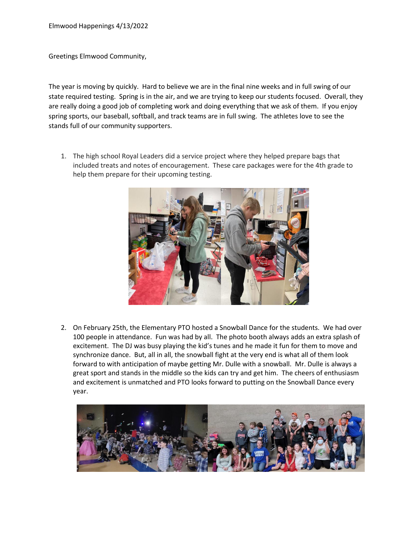Greetings Elmwood Community,

The year is moving by quickly. Hard to believe we are in the final nine weeks and in full swing of our state required testing. Spring is in the air, and we are trying to keep our students focused. Overall, they are really doing a good job of completing work and doing everything that we ask of them. If you enjoy spring sports, our baseball, softball, and track teams are in full swing. The athletes love to see the stands full of our community supporters.

1. The high school Royal Leaders did a service project where they helped prepare bags that included treats and notes of encouragement. These care packages were for the 4th grade to help them prepare for their upcoming testing.



2. On February 25th, the Elementary PTO hosted a Snowball Dance for the students. We had over 100 people in attendance. Fun was had by all. The photo booth always adds an extra splash of excitement. The DJ was busy playing the kid's tunes and he made it fun for them to move and synchronize dance. But, all in all, the snowball fight at the very end is what all of them look forward to with anticipation of maybe getting Mr. Dulle with a snowball. Mr. Dulle is always a great sport and stands in the middle so the kids can try and get him. The cheers of enthusiasm and excitement is unmatched and PTO looks forward to putting on the Snowball Dance every year.

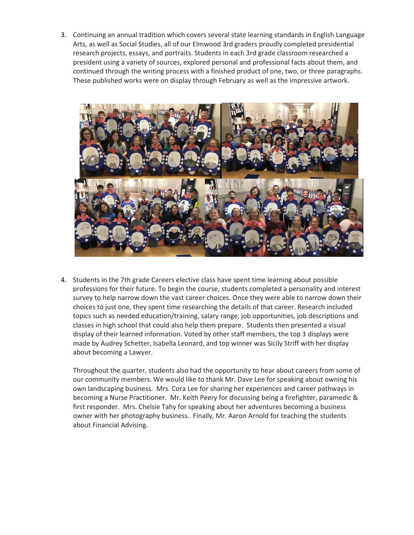3. Continuing an annual tradition which covers several state learning standards in English Language Arts, as well as Social Studies, all of our Elmwood 3rd graders proudly completed presidential research projects, essays, and portraits. Students in each 3rd grade classroom researched a president using a variety of sources, explored personal and professional facts about them, and continued through the writing process with a finished product of one, two, or three paragraphs. These published works were on display through February as well as the impressive artwork.



4. Students in the 7th grade Careers elective class have spent time learning about possible professions for their future. To begin the course, students completed a personality and interest survey to help narrow down the vast career choices. Once they were able to narrow down their choices to just one, they spent time researching the details of that career. Research included topics such as needed education/training, salary range, job opportunities, job descriptions and classes in high school that could also help them prepare. Students then presented a visual display of their learned information. Voted by other staff members, the top 3 displays were made by Audrey Schetter, Isabella Leonard, and top winner was Sicily Striff with her display about becoming a Lawyer.

Throughout the quarter, students also had the opportunity to hear about careers from some of our community members. We would like to thank Mr. Dave Lee for speaking about owning his own landscaping business. Mrs. Cora Lee for sharing her experiences and career pathways in becoming a Nurse Practitioner. Mr. Keith Peery for discussing being a firefighter, paramedic & first responder. Mrs. Chelsie Tahy for speaking about her adventures becoming a business owner with her photography business. Finally, Mr. Aaron Arnold for teaching the students about Financial Advising.